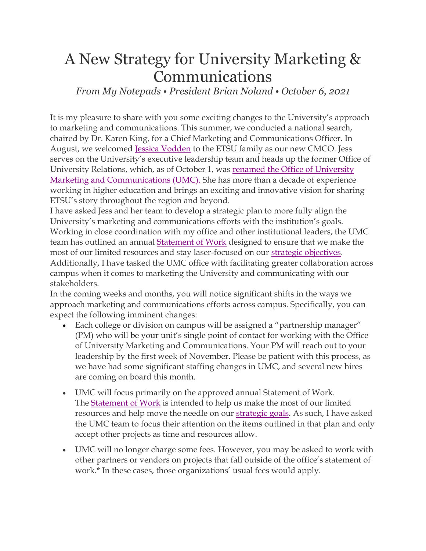## A New Strategy for University Marketing & Communications

*From My Notepads • President Brian Noland • October 6, 2021*

It is my pleasure to share with you some exciting changes to the University's approach to marketing and communications. This summer, we conducted a national search, chaired by Dr. Karen King, for a Chief Marketing and Communications Officer. In August, we welcomed [Jessica Vodden](https://www.etsu.edu/etsu-news/2021/10-october/vodden-nr.php) to the ETSU family as our new CMCO. Jess serves on the University's executive leadership team and heads up the former Office of University Relations, which, as of October 1, was [renamed the Office of University](https://www.etsu.edu/etsu-news/2021/10-october/vodden-nr.php)  [Marketing and Communications \(UMC\).](https://www.etsu.edu/etsu-news/2021/10-october/vodden-nr.php) She has more than a decade of experience working in higher education and brings an exciting and innovative vision for sharing ETSU's story throughout the region and beyond.

I have asked Jess and her team to develop a strategic plan to more fully align the University's marketing and communications efforts with the institution's goals. Working in close coordination with my office and other institutional leaders, the UMC team has outlined an annual [Statement of Work](https://etsuur.app.box.com/file/869427856613?s=xxhbwcamsewuuv6y4thzlcaoz2x76rkr) designed to ensure that we make the most of our limited resources and stay laser-focused on our [strategic objectives.](https://www.etsu.edu/president/documents/univ_strategicplan.pdf) Additionally, I have tasked the UMC office with facilitating greater collaboration across campus when it comes to marketing the University and communicating with our stakeholders.

In the coming weeks and months, you will notice significant shifts in the ways we approach marketing and communications efforts across campus. Specifically, you can expect the following imminent changes:

- Each college or division on campus will be assigned a "partnership manager" (PM) who will be your unit's single point of contact for working with the Office of University Marketing and Communications. Your PM will reach out to your leadership by the first week of November. Please be patient with this process, as we have had some significant staffing changes in UMC, and several new hires are coming on board this month.
- UMC will focus primarily on the approved annual Statement of Work. The [Statement of Work](https://etsuur.app.box.com/file/869427856613?s=xxhbwcamsewuuv6y4thzlcaoz2x76rkr) is intended to help us make the most of our limited resources and help move the needle on our [strategic goals.](https://www.etsu.edu/president/documents/univ_strategicplan.pdf) As such, I have asked the UMC team to focus their attention on the items outlined in that plan and only accept other projects as time and resources allow.
- UMC will no longer charge some fees. However, you may be asked to work with other partners or vendors on projects that fall outside of the office's statement of work.\* In these cases, those organizations' usual fees would apply.